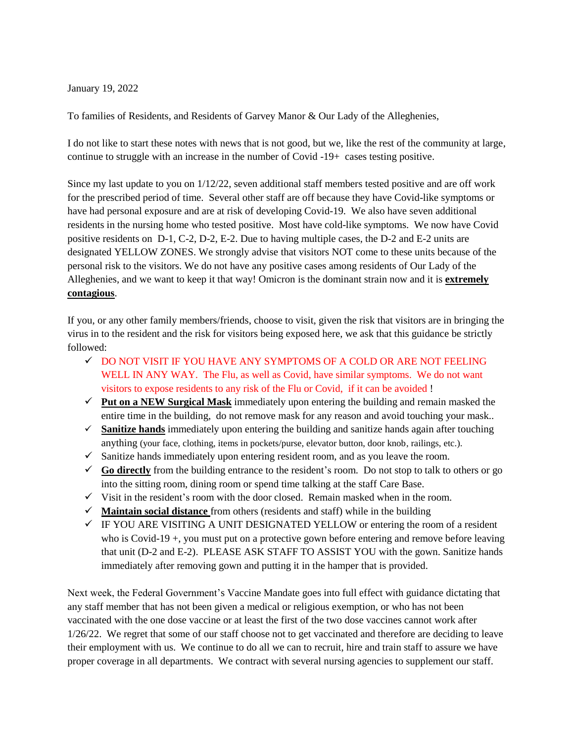January 19, 2022

To families of Residents, and Residents of Garvey Manor & Our Lady of the Alleghenies,

I do not like to start these notes with news that is not good, but we, like the rest of the community at large, continue to struggle with an increase in the number of Covid -19+ cases testing positive.

Since my last update to you on 1/12/22, seven additional staff members tested positive and are off work for the prescribed period of time. Several other staff are off because they have Covid-like symptoms or have had personal exposure and are at risk of developing Covid-19. We also have seven additional residents in the nursing home who tested positive. Most have cold-like symptoms. We now have Covid positive residents on D-1, C-2, D-2, E-2. Due to having multiple cases, the D-2 and E-2 units are designated YELLOW ZONES. We strongly advise that visitors NOT come to these units because of the personal risk to the visitors. We do not have any positive cases among residents of Our Lady of the Alleghenies, and we want to keep it that way! Omicron is the dominant strain now and it is **extremely contagious**.

If you, or any other family members/friends, choose to visit, given the risk that visitors are in bringing the virus in to the resident and the risk for visitors being exposed here, we ask that this guidance be strictly followed:

- ✓ DO NOT VISIT IF YOU HAVE ANY SYMPTOMS OF A COLD OR ARE NOT FEELING WELL IN ANY WAY. The Flu, as well as Covid, have similar symptoms. We do not want visitors to expose residents to any risk of the Flu or Covid, if it can be avoided !
- $\checkmark$  **Put on a NEW Surgical Mask** immediately upon entering the building and remain masked the entire time in the building, do not remove mask for any reason and avoid touching your mask..
- $\checkmark$  **Sanitize hands** immediately upon entering the building and sanitize hands again after touching anything (your face, clothing, items in pockets/purse, elevator button, door knob, railings, etc.).
- $\checkmark$  Sanitize hands immediately upon entering resident room, and as you leave the room.
- $\checkmark$  **Go directly** from the building entrance to the resident's room. Do not stop to talk to others or go into the sitting room, dining room or spend time talking at the staff Care Base.
- $\checkmark$  Visit in the resident's room with the door closed. Remain masked when in the room.
- ✓ **Maintain social distance** from others (residents and staff) while in the building
- $\checkmark$  IF YOU ARE VISITING A UNIT DESIGNATED YELLOW or entering the room of a resident who is Covid-19 +, you must put on a protective gown before entering and remove before leaving that unit (D-2 and E-2). PLEASE ASK STAFF TO ASSIST YOU with the gown. Sanitize hands immediately after removing gown and putting it in the hamper that is provided.

Next week, the Federal Government's Vaccine Mandate goes into full effect with guidance dictating that any staff member that has not been given a medical or religious exemption, or who has not been vaccinated with the one dose vaccine or at least the first of the two dose vaccines cannot work after 1/26/22. We regret that some of our staff choose not to get vaccinated and therefore are deciding to leave their employment with us. We continue to do all we can to recruit, hire and train staff to assure we have proper coverage in all departments. We contract with several nursing agencies to supplement our staff.